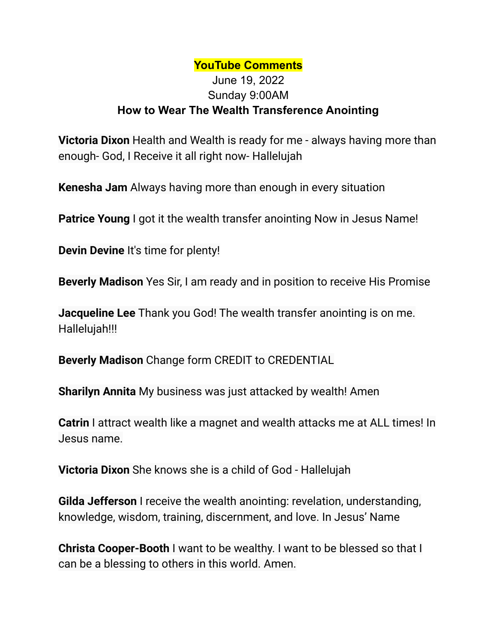## **YouTube Comments**

## June 19, 2022 Sunday 9:00AM **How to Wear The Wealth Transference Anointing**

**Victoria Dixon** Health and Wealth is ready for me - always having more than enough- God, I Receive it all right now- Hallelujah

**Kenesha Jam** Always having more than enough in every situation

**Patrice Young** I got it the wealth transfer anointing Now in Jesus Name!

**Devin Devine** It's time for plenty!

**Beverly Madison** Yes Sir, I am ready and in position to receive His Promise

**Jacqueline Lee** Thank you God! The wealth transfer anointing is on me. Hallelujah!!!

**Beverly Madison** Change form CREDIT to CREDENTIAL

**Sharilyn Annita** My business was just attacked by wealth! Amen

**Catrin** I attract wealth like a magnet and wealth attacks me at ALL times! In Jesus name.

**Victoria Dixon** She knows she is a child of God - Hallelujah

**Gilda Jefferson** I receive the wealth anointing: revelation, understanding, knowledge, wisdom, training, discernment, and love. In Jesus' Name

**Christa Cooper-Booth** I want to be wealthy. I want to be blessed so that I can be a blessing to others in this world. Amen.